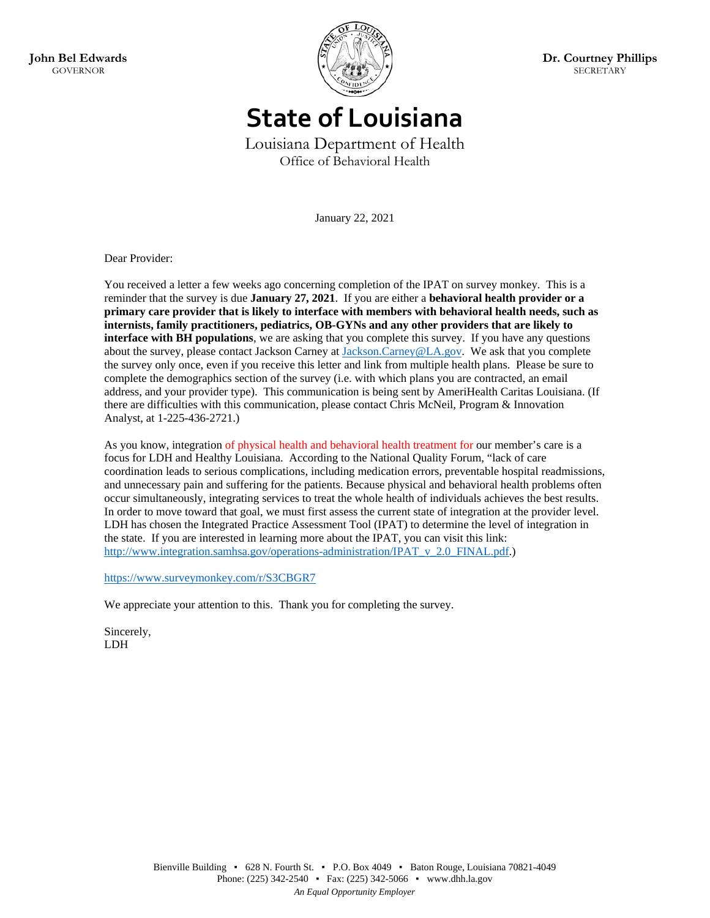

**State of Louisiana**

Louisiana Department of Health Office of Behavioral Health

January 22, 2021

Dear Provider:

You received a letter a few weeks ago concerning completion of the IPAT on survey monkey. This is a reminder that the survey is due **January 27, 2021**. If you are either a **behavioral health provider or a primary care provider that is likely to interface with members with behavioral health needs, such as internists, family practitioners, pediatrics, OB-GYNs and any other providers that are likely to interface with BH populations**, we are asking that you complete this survey. If you have any questions about the survey, please contact Jackson Carney at [Jackson.Carney@LA.gov.](mailto:Jackson.Carney@LA.gov) We ask that you complete the survey only once, even if you receive this letter and link from multiple health plans. Please be sure to complete the demographics section of the survey (i.e. with which plans you are contracted, an email address, and your provider type). This communication is being sent by AmeriHealth Caritas Louisiana. (If there are difficulties with this communication, please contact Chris McNeil, Program & Innovation Analyst, at 1-225-436-2721.)

As you know, integration of physical health and behavioral health treatment for our member's care is a focus for LDH and Healthy Louisiana. According to the National Quality Forum, "lack of care coordination leads to serious complications, including medication errors, preventable hospital readmissions, and unnecessary pain and suffering for the patients. Because physical and behavioral health problems often occur simultaneously, integrating services to treat the whole health of individuals achieves the best results. In order to move toward that goal, we must first assess the current state of integration at the provider level. LDH has chosen the Integrated Practice Assessment Tool (IPAT) to determine the level of integration in the state. If you are interested in learning more about the IPAT, you can visit this link: [http://www.integration.samhsa.gov/operations-administration/IPAT\\_v\\_2.0\\_FINAL.pdf.](http://www.integration.samhsa.gov/operations-administration/IPAT_v_2.0_FINAL.pdf))

<https://www.surveymonkey.com/r/S3CBGR7>

We appreciate your attention to this. Thank you for completing the survey.

Sincerely, LDH